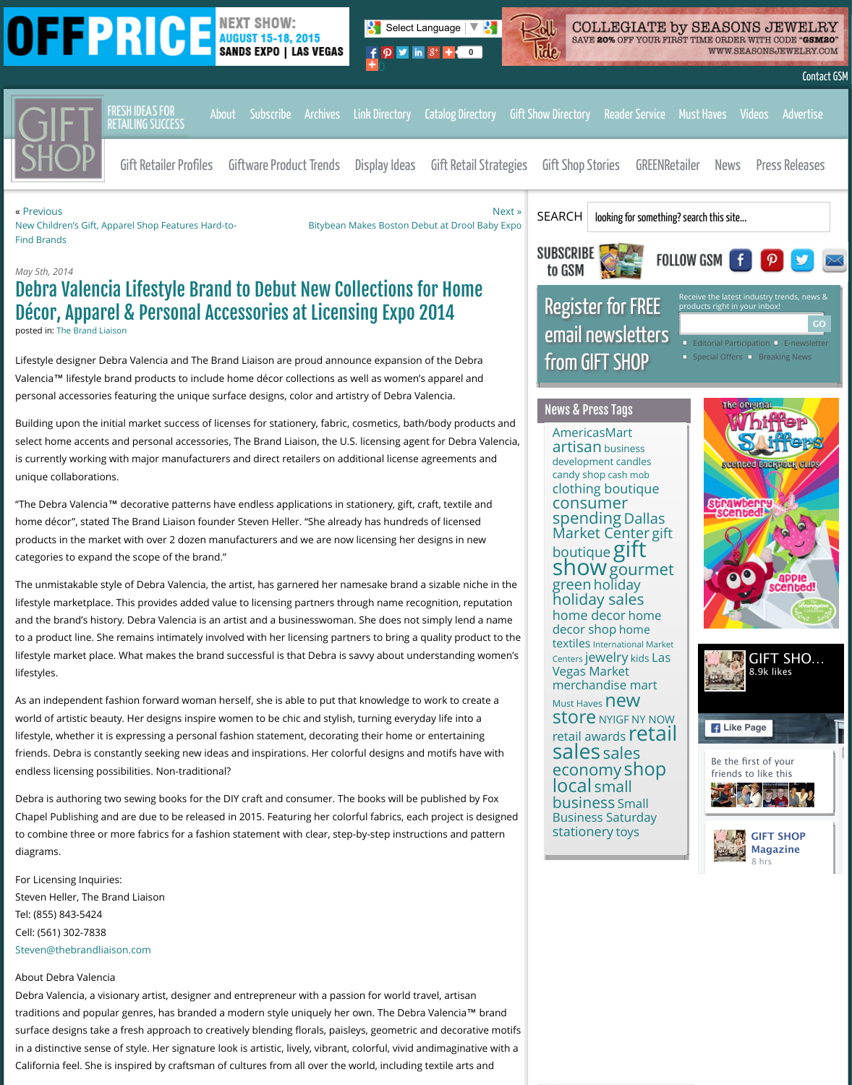unique collaborations.

"The Debra Valencia™ decorative patterns have endless applications in stationery, gift, craft, textile [home décor", stated The Brand Liaison founder Steven Heller. "She alrea](http://www.giftshopmag.com/wp-content/plugins/oiopub-direct/modules/tracker/go.php?id=91)dy has hundreds of licens products in the market with over 2 dozen manufacturers and we are now li[censin](http://www.giftshopmag.com/press_release/2014/05/debra-valencia-lifestyle-brand-to-debut-new-collections-for-home-decor-apparel-personal-accessories-at-licensing-expo-2014/#)g her designs in r categories to expand the scope of the brand."

The unmistakable style of Debra Valenci[a, the art](http://www.giftshopmag.com/about/)[ist, has garn](https://order.greatamericanmediaservices.com/index.php/retail/gift-shop-magazine)[ered her n](http://www.giftshopmag.com/archives)[amesake brand](http://www.giftshopmag.com/directory_of_useful_links/) a sizable n lifestyle marketplace. This provides added value to licensing partners through name recognition, re and the brand's history. Debra Valencia is an artist and a businesswoman. She does not simply len to a product line. She [remains intimately in](http://www.giftshopmag.com/category/all-about-gift-retailers/)vol[ved with her licensing pa](http://www.giftshopmag.com/category/unique-giftware-ideas/)rt[ners to bring a](http://www.giftshopmag.com/category/display-ideas-for-gift-retail/) quality pro lifestyle market place. What makes the brand successful is that Debra is savvy about understandin lifestyles.

[As an independent fashion forward woman hers](http://www.giftshopmag.com/news/2014/05/new-childrens-gift-apparel-shop-features-hard-to-find-brands/)elf, she is able to put that knowledge to work to create world of artistic beauty. Her designs inspire women to be chic and stylish, turning everyday life into lifestyle, whether it is expressing a personal fashion statement, decorating their home or entertain friends. Debra is constantly seeking new ideas and inspirations. Her colorful designs and motifs ha endless licensing possibilities. Non-traditional?

Debra is authoring two sewing books for the DIY craft and consumer. The books will be published Chapel Publishing and are due to be released in 2015. Featuring her colorful fabrics, each project i to combine three or more fabrics for a fashion statement with clear, step-by-step instructions and diagrams.

For Licensing Inquiries: Steven Heller, The Brand Liaison Tel: (855) 843-5424 Cell: (561) 302-7838 Steven@thebrandliaison.com

## About Debra Valencia

Debra Valencia, a visionary artist, designer and entrepreneur with a passion for world travel, artisa traditions and popular genres, has branded a modern style uniquely her own. The Debra Valencia surface designs take a fresh approach to creatively blending florals, paisleys, geometric and decorative motio in a distinctive sense of style. Her signature look is artistic, lively, vibrant, colorful, vivid andimaginativ California feel. She is inspired by craftsman of cultures from all over the world, including textile art